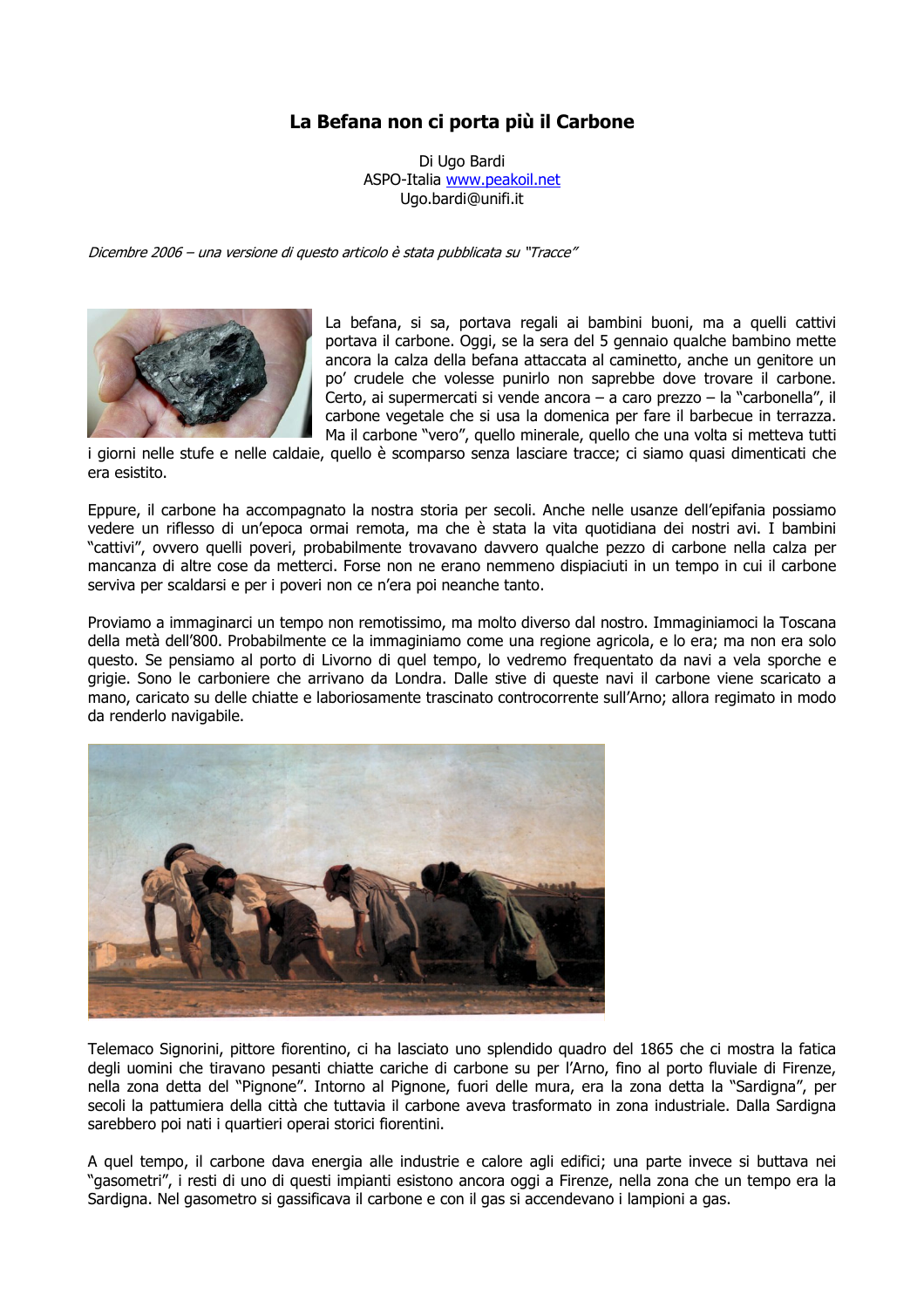## La Befana non ci porta più il Carbone

Di Ugo Bardi ASPO-Italia www.peakoil.net Ugo.bardi@unifi.it

Dicembre 2006 – una versione di questo articolo è stata pubblicata su "Tracce"



La befana, si sa, portava regali ai bambini buoni, ma a quelli cattivi portava il carbone. Oggi, se la sera del 5 gennaio qualche bambino mette ancora la calza della befana attaccata al caminetto, anche un genitore un po' crudele che volesse punirlo non saprebbe dove trovare il carbone. Certo, ai supermercati si vende ancora – a caro prezzo – la "carbonella", il carbone vegetale che si usa la domenica per fare il barbecue in terrazza. Ma il carbone "vero", quello minerale, quello che una volta si metteva tutti

i giorni nelle stufe e nelle caldaie, quello è scomparso senza lasciare tracce; ci siamo quasi dimenticati che era esistito

Eppure, il carbone ha accompagnato la nostra storia per secoli. Anche nelle usanze dell'epifania possiamo vedere un riflesso di un'epoca ormai remota, ma che è stata la vita quotidiana dei nostri avi. I bambini "cattivi", ovvero quelli poveri, probabilmente trovavano davvero qualche pezzo di carbone nella calza per mancanza di altre cose da metterci. Forse non ne erano nemmeno dispiaciuti in un tempo in cui il carbone serviva per scaldarsi e per i poveri non ce n'era poi neanche tanto.

Proviamo a immaginarci un tempo non remotissimo, ma molto diverso dal nostro. Immaginiamoci la Toscana della metà dell'800. Probabilmente ce la immaginiamo come una regione agricola, e lo era: ma non era solo questo. Se pensiamo al porto di Livorno di quel tempo, lo vedremo frequentato da navi a vela sporche e grigie. Sono le carboniere che arrivano da Londra. Dalle stive di queste navi il carbone viene scaricato a mano, caricato su delle chiatte e laboriosamente trascinato controcorrente sull'Arno; allora regimato in modo da renderlo navigabile.



Telemaco Signorini, pittore fiorentino, ci ha lasciato uno splendido quadro del 1865 che ci mostra la fatica degli uomini che tiravano pesanti chiatte cariche di carbone su per l'Arno, fino al porto fluviale di Firenze, nella zona detta del "Pignone". Intorno al Pignone, fuori delle mura, era la zona detta la "Sardigna", per secoli la pattumiera della città che tuttavia il carbone aveva trasformato in zona industriale. Dalla Sardigna sarebbero poi nati i quartieri operai storici fiorentini.

A quel tempo, il carbone dava energia alle industrie e calore agli edifici; una parte invece si buttava nei "gasometri", i resti di uno di questi impianti esistono ancora oggi a Firenze, nella zona che un tempo era la Sardigna. Nel gasometro si gassificava il carbone e con il gas si accendevano i lampioni a gas.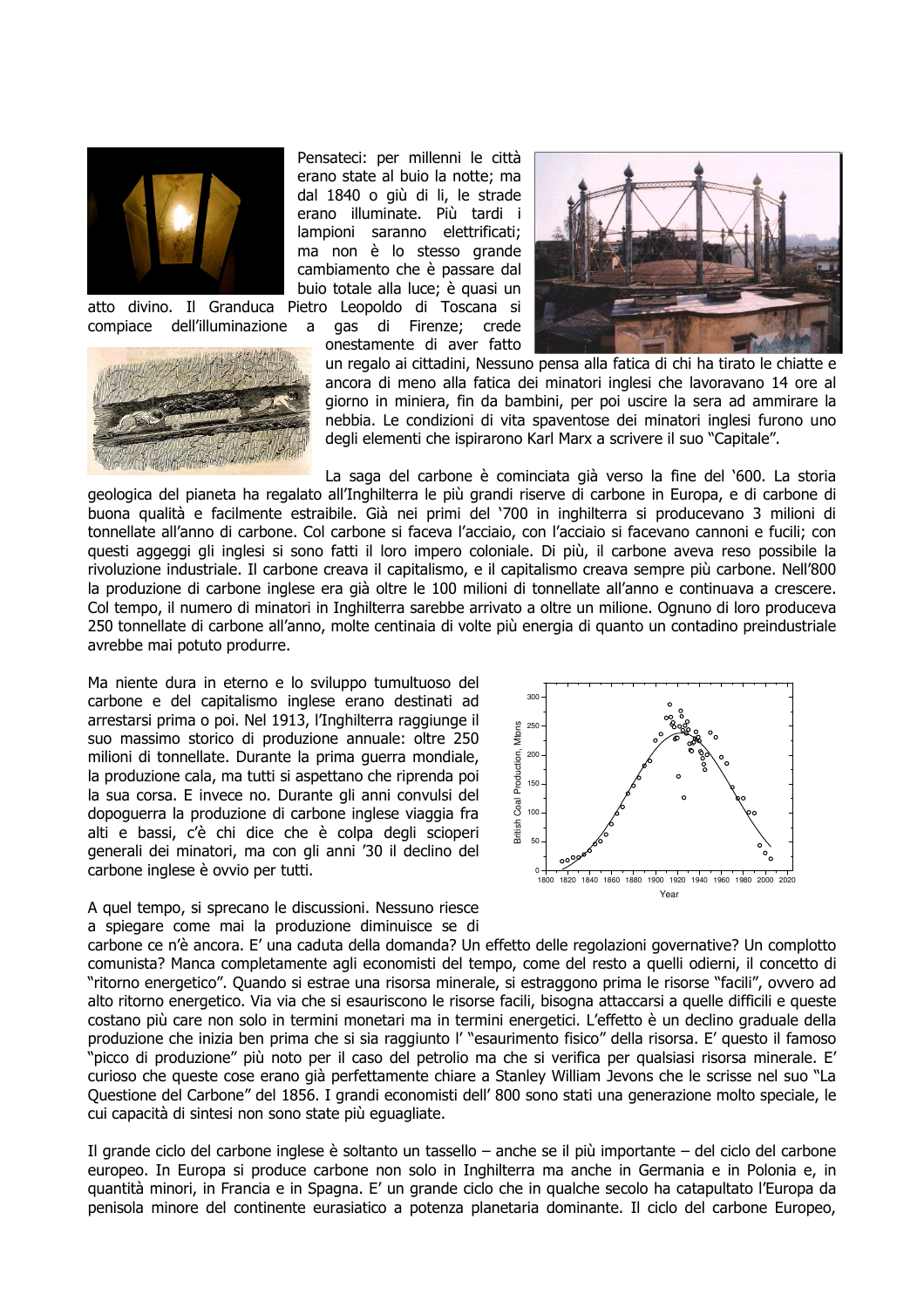

compiace dell'illuminazione a



Pensateci: per millenni le città erano state al buio la notte; ma dal 1840 o giù di li, le strade erano illuminate. Più tardi i lampioni saranno elettrificati: ma non è lo stesso grande cambiamento che è passare dal buio totale alla luce; è quasi un atto divino. Il Granduca Pietro Leopoldo di Toscana si

> gas di Firenze; crede onestamente di aver fatto



un regalo ai cittadini, Nessuno pensa alla fatica di chi ha tirato le chiatte e ancora di meno alla fatica dei minatori inglesi che lavoravano 14 ore al giorno in miniera, fin da bambini, per poi uscire la sera ad ammirare la nebbia. Le condizioni di vita spaventose dei minatori inglesi furono uno degli elementi che ispirarono Karl Marx a scrivere il suo "Capitale".

La saga del carbone è cominciata già verso la fine del '600. La storia geologica del pianeta ha regalato all'Inghilterra le più grandi riserve di carbone in Europa, e di carbone di buona qualità e facilmente estraibile. Già nei primi del '700 in inghilterra si producevano 3 milioni di tonnellate all'anno di carbone. Col carbone si faceva l'acciaio, con l'acciaio si facevano cannoni e fucili; con questi aggeggi gli inglesi si sono fatti il loro impero coloniale. Di più, il carbone aveva reso possibile la rivoluzione industriale. Il carbone creava il capitalismo, e il capitalismo creava sempre più carbone. Nell'800 la produzione di carbone inglese era già oltre le 100 milioni di tonnellate all'anno e continuava a crescere. Col tempo, il numero di minatori in Inghilterra sarebbe arrivato a oltre un milione. Ognuno di loro produceva 250 tonnellate di carbone all'anno, molte centinaia di volte più energia di quanto un contadino preindustriale avrebbe mai potuto produrre.

Ma niente dura in eterno e lo sviluppo tumultuoso del carbone e del capitalismo inglese erano destinati ad arrestarsi prima o poi. Nel 1913, l'Inghilterra raggiunge il suo massimo storico di produzione annuale: oltre 250 milioni di tonnellate. Durante la prima querra mondiale, la produzione cala, ma tutti si aspettano che riprenda poi la sua corsa. E invece no. Durante gli anni convulsi del dopoguerra la produzione di carbone inglese viaggia fra alti e bassi, c'è chi dice che è colpa degli scioperi generali dei minatori, ma con gli anni '30 il declino del carbone inglese è ovvio per tutti.



A quel tempo, si sprecano le discussioni. Nessuno riesce a spiegare come mai la produzione diminuisce se di

carbone ce n'è ancora. E' una caduta della domanda? Un effetto delle regolazioni governative? Un complotto comunista? Manca completamente agli economisti del tempo, come del resto a quelli odierni, il concetto di "ritorno energetico". Quando si estrae una risorsa minerale, si estraggono prima le risorse "facili", ovvero ad alto ritorno energetico. Via via che si esauriscono le risorse facili, bisogna attaccarsi a quelle difficili e queste costano più care non solo in termini monetari ma in termini energetici. L'effetto è un declino graduale della produzione che inizia ben prima che si sia raggiunto l' "esaurimento fisico" della risorsa. E' questo il famoso "picco di produzione" più noto per il caso del petrolio ma che si verifica per qualsiasi risorsa minerale. E' curioso che queste cose erano già perfettamente chiare a Stanley William Jevons che le scrisse nel suo "La Questione del Carbone" del 1856. I grandi economisti dell' 800 sono stati una generazione molto speciale, le cui capacità di sintesi non sono state più equagliate.

Il grande ciclo del carbone inglese è soltanto un tassello – anche se il più importante – del ciclo del carbone europeo. In Europa si produce carbone non solo in Inghilterra ma anche in Germania e in Polonia e, in quantità minori, in Francia e in Spagna. E' un grande ciclo che in qualche secolo ha catapultato l'Europa da penisola minore del continente eurasiatico a potenza planetaria dominante. Il ciclo del carbone Europeo,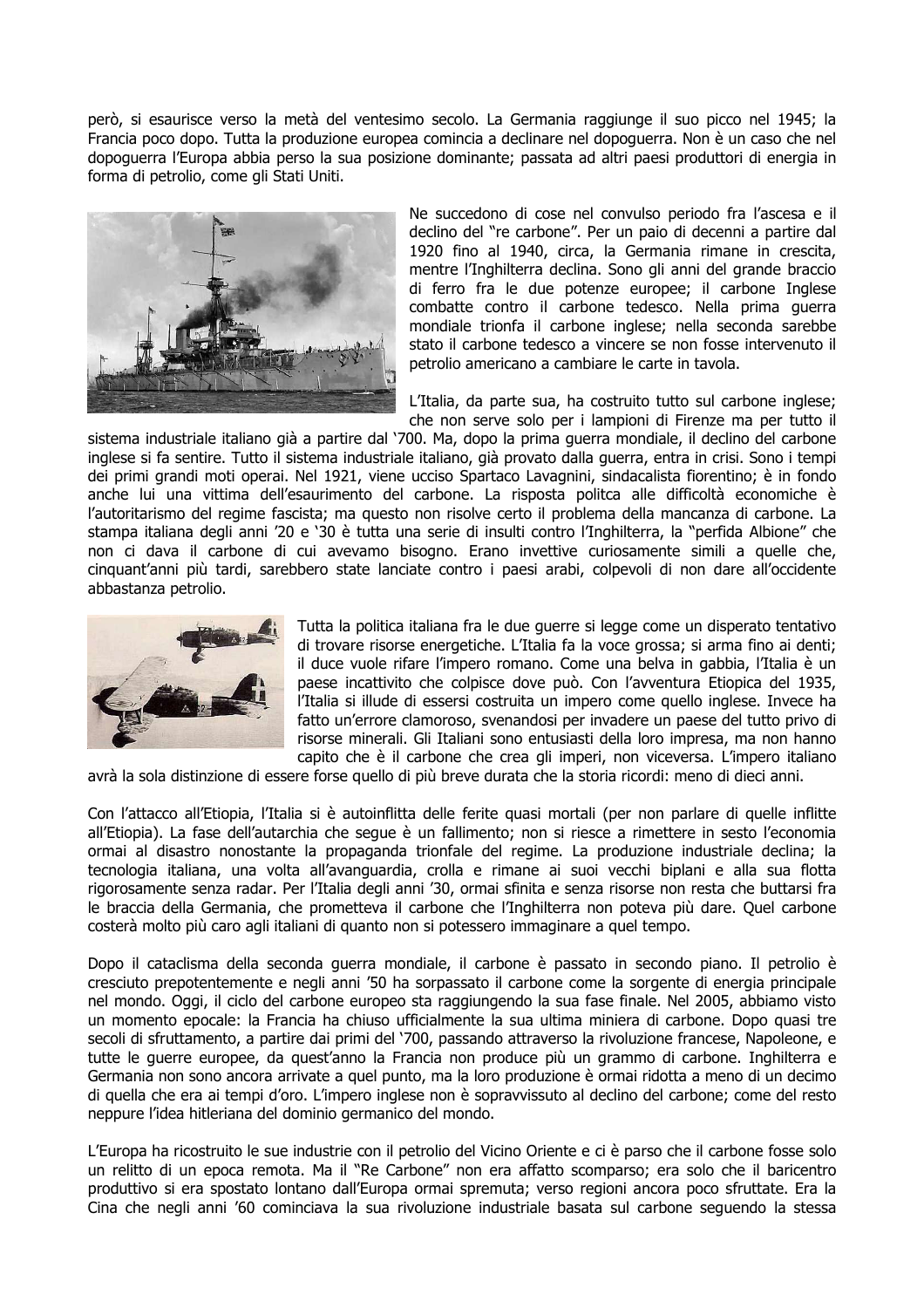però, si esaurisce verso la metà del ventesimo secolo. La Germania raggiunge il suo picco nel 1945; la Francia poco dopo. Tutta la produzione europea comincia a declinare nel dopoguerra. Non è un caso che nel dopoguerra l'Europa abbia perso la sua posizione dominante; passata ad altri paesi produttori di energia in forma di petrolio, come gli Stati Uniti.



Ne succedono di cose nel convulso periodo fra l'ascesa e il declino del "re carbone". Per un paio di decenni a partire dal 1920 fino al 1940, circa, la Germania rimane in crescita, mentre l'Inghilterra declina. Sono gli anni del grande braccio di ferro fra le due potenze europee; il carbone Inglese combatte contro il carbone tedesco. Nella prima guerra mondiale trionfa il carbone inglese; nella seconda sarebbe stato il carbone tedesco a vincere se non fosse intervenuto il petrolio americano a cambiare le carte in tavola.

L'Italia, da parte sua, ha costruito tutto sul carbone inglese; che non serve solo per i lampioni di Firenze ma per tutto il

sistema industriale italiano già a partire dal '700, Ma, dopo la prima guerra mondiale, il declino del carbone inglese si fa sentire. Tutto il sistema industriale italiano, già provato dalla guerra, entra in crisi. Sono i tempi dei primi grandi moti operai. Nel 1921, viene ucciso Spartaco Lavagnini, sindacalista fiorentino; è in fondo anche lui una vittima dell'esaurimento del carbone. La risposta politca alle difficoltà economiche è l'autoritarismo del regime fascista; ma questo non risolve certo il problema della mancanza di carbone. La stampa italiana degli anni '20 e '30 è tutta una serie di insulti contro l'Inghilterra, la "perfida Albione" che non ci dava il carbone di cui avevamo bisogno. Erano invettive curiosamente simili a quelle che, cinguant'anni più tardi, sarebbero state lanciate contro i paesi arabi, colpevoli di non dare all'occidente abbastanza petrolio.



Tutta la politica italiana fra le due querre si legge come un disperato tentativo di trovare risorse energetiche. L'Italia fa la voce grossa; si arma fino ai denti; il duce vuole rifare l'impero romano. Come una belva in gabbia, l'Italia è un paese incattivito che colpisce dove può. Con l'avventura Etiopica del 1935, l'Italia si illude di essersi costruita un impero come quello inglese. Invece ha fatto un'errore clamoroso, svenandosi per invadere un paese del tutto privo di risorse minerali. Gli Italiani sono entusiasti della loro impresa, ma non hanno capito che è il carbone che crea gli imperi, non viceversa. L'impero italiano

avrà la sola distinzione di essere forse quello di più breve durata che la storia ricordi: meno di dieci anni.

Con l'attacco all'Etiopia, l'Italia si è autoinflitta delle ferite quasi mortali (per non parlare di quelle inflitte all'Etiopia). La fase dell'autarchia che seque è un fallimento: non si riesce a rimettere in sesto l'economia ormai al disastro nonostante la propaganda trionfale del regime. La produzione industriale declina; la tecnologia italiana, una volta all'avanguardia, crolla e rimane ai suoi vecchi biplani e alla sua flotta rigorosamente senza radar. Per l'Italia degli anni '30, ormai sfinita e senza risorse non resta che buttarsi fra le braccia della Germania, che prometteva il carbone che l'Inghilterra non poteva più dare. Quel carbone costerà molto più caro agli italiani di quanto non si potessero immaginare a quel tempo.

Dopo il cataclisma della seconda querra mondiale, il carbone è passato in secondo piano. Il petrolio è cresciuto prepotentemente e negli anni '50 ha sorpassato il carbone come la sorgente di energia principale nel mondo. Oggi, il ciclo del carbone europeo sta raggiungendo la sua fase finale. Nel 2005, abbiamo visto un momento epocale: la Francia ha chiuso ufficialmente la sua ultima miniera di carbone. Dopo quasi tre secoli di sfruttamento, a partire dai primi del '700, passando attraverso la rivoluzione francese, Napoleone, e tutte le guerre europee, da quest'anno la Francia non produce più un grammo di carbone. Inghilterra e Germania non sono ancora arrivate a quel punto, ma la loro produzione è ormai ridotta a meno di un decimo di quella che era ai tempi d'oro. L'impero inglese non è sopravvissuto al declino del carbone; come del resto neppure l'idea hitleriana del dominio germanico del mondo.

L'Europa ha ricostruito le sue industrie con il petrolio del Vicino Oriente e ci è parso che il carbone fosse solo un relitto di un epoca remota. Ma il "Re Carbone" non era affatto scomparso; era solo che il baricentro produttivo si era spostato lontano dall'Europa ormai spremuta; verso regioni ancora poco sfruttate. Era la Cina che negli anni '60 cominciava la sua rivoluzione industriale basata sul carbone seguendo la stessa